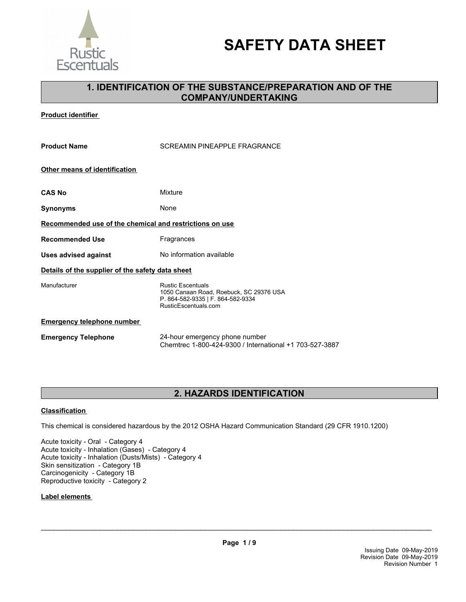

# **SAFETY DATA SHEET**

# **1. IDENTIFICATION OF THE SUBSTANCE/PREPARATION AND OF THE COMPANY/UNDERTAKING**

**Product identifier** 

| <b>Product Name</b>                                     | <b>SCREAMIN PINEAPPLE FRAGRANCE</b>                                                                                              |
|---------------------------------------------------------|----------------------------------------------------------------------------------------------------------------------------------|
| Other means of identification                           |                                                                                                                                  |
| <b>CAS No</b>                                           | Mixture                                                                                                                          |
| Synonyms                                                | None                                                                                                                             |
| Recommended use of the chemical and restrictions on use |                                                                                                                                  |
| Recommended Use                                         | Fragrances                                                                                                                       |
| <b>Uses advised against</b>                             | No information available                                                                                                         |
| Details of the supplier of the safety data sheet        |                                                                                                                                  |
| Manufacturer                                            | <b>Rustic Escentuals</b><br>1050 Canaan Road, Roebuck, SC 29376 USA<br>P. 864-582-9335   F. 864-582-9334<br>RusticEscentuals.com |
| <b>Emergency telephone number</b>                       |                                                                                                                                  |
| <b>Emergency Telephone</b>                              | 24-hour emergency phone number                                                                                                   |

# **2. HAZARDS IDENTIFICATION**

Chemtrec 1-800-424-9300 / International +1 703-527-3887

### **Classification**

This chemical is considered hazardous by the 2012 OSHA Hazard Communication Standard (29 CFR 1910.1200)

Acute toxicity - Oral - Category 4 Acute toxicity - Inhalation (Gases) - Category 4 Acute toxicity - Inhalation (Dusts/Mists) - Category 4 Skin sensitization - Category 1B Carcinogenicity - Category 1B Reproductive toxicity - Category 2

### **Label elements**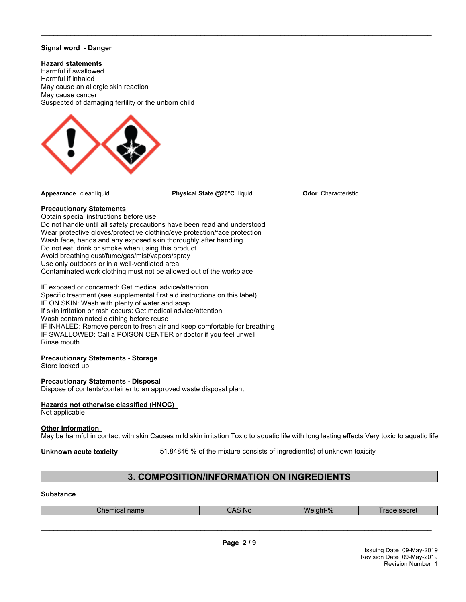### **Signal word - Danger**

### **Hazard statements**

Harmful if swallowed Harmful if inhaled May cause an allergic skin reaction May cause cancer Suspected of damaging fertility or the unborn child



**Appearance** clear liquid **Physical State @20°C** liquid

 $\_$  ,  $\_$  ,  $\_$  ,  $\_$  ,  $\_$  ,  $\_$  ,  $\_$  ,  $\_$  ,  $\_$  ,  $\_$  ,  $\_$  ,  $\_$  ,  $\_$  ,  $\_$  ,  $\_$  ,  $\_$  ,  $\_$  ,  $\_$  ,  $\_$  ,  $\_$  ,  $\_$  ,  $\_$  ,  $\_$  ,  $\_$  ,  $\_$  ,  $\_$  ,  $\_$  ,  $\_$  ,  $\_$  ,  $\_$  ,  $\_$  ,  $\_$  ,  $\_$  ,  $\_$  ,  $\_$  ,  $\_$  ,  $\_$  ,

**Odor** Characteristic

### **Precautionary Statements**

Obtain special instructions before use Do not handle until all safety precautions have been read and understood Wear protective gloves/protective clothing/eye protection/face protection Wash face, hands and any exposed skin thoroughly after handling Do not eat, drink or smoke when using this product Avoid breathing dust/fume/gas/mist/vapors/spray Use only outdoors or in a well-ventilated area Contaminated work clothing must not be allowed out of the workplace

IF exposed or concerned: Get medical advice/attention Specific treatment (see supplemental first aid instructions on this label) IF ON SKIN: Wash with plenty of water and soap If skin irritation or rash occurs: Get medical advice/attention Wash contaminated clothing before reuse IF INHALED: Remove person to fresh air and keep comfortable for breathing IF SWALLOWED: Call a POISON CENTER or doctor if you feel unwell Rinse mouth

### **Precautionary Statements - Storage**

Store locked up

### **Precautionary Statements - Disposal**

Dispose of contents/container to an approved waste disposal plant

### **Hazards not otherwise classified (HNOC)**

Not applicable

### **Other Information**

May be harmful in contact with skin Causes mild skin irritation Toxic to aquatic life with long lasting effects Very toxic to aquatic life

**Unknown acute toxicity** 51.84846 % of the mixture consists of ingredient(s) of unknown toxicity

# **3. COMPOSITION/INFORMATION ON INGREDIENTS**

### **Substance**

| name<br>mical | $\mathcal{L}$<br>-No<br><b>UNU</b> | 0/2<br>Weinht- | RACTAT<br>. PACI AL<br>dut |
|---------------|------------------------------------|----------------|----------------------------|
|               |                                    |                |                            |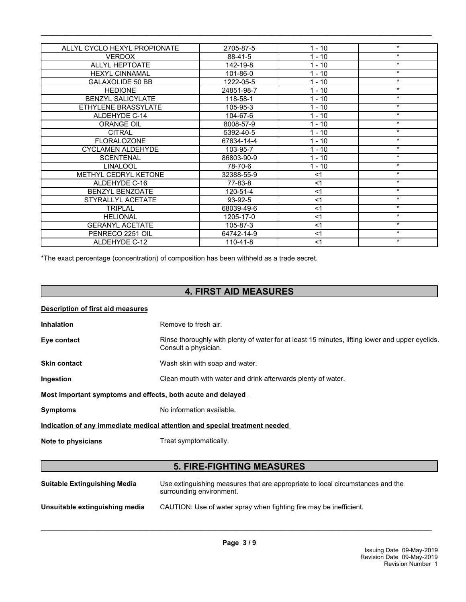| ALLYL CYCLO HEXYL PROPIONATE | 2705-87-5  | $1 - 10$ | $\star$ |
|------------------------------|------------|----------|---------|
| <b>VERDOX</b>                | 88-41-5    | $1 - 10$ | $\star$ |
| <b>ALLYL HEPTOATE</b>        | 142-19-8   | $1 - 10$ | $\star$ |
| <b>HEXYL CINNAMAL</b>        | 101-86-0   | $1 - 10$ | $\star$ |
| <b>GALAXOLIDE 50 BB</b>      | 1222-05-5  | $1 - 10$ | $\star$ |
| <b>HEDIONE</b>               | 24851-98-7 | $1 - 10$ | $\star$ |
| <b>BENZYL SALICYLATE</b>     | 118-58-1   | $1 - 10$ | $\star$ |
| ETHYLENE BRASSYLATE          | 105-95-3   | $1 - 10$ | $\star$ |
| ALDEHYDE C-14                | 104-67-6   | $1 - 10$ | $\star$ |
| <b>ORANGE OIL</b>            | 8008-57-9  | $1 - 10$ | $\star$ |
| <b>CITRAL</b>                | 5392-40-5  | $1 - 10$ | $\star$ |
| <b>FLORALOZONE</b>           | 67634-14-4 | $1 - 10$ | $\star$ |
| <b>CYCLAMEN ALDEHYDE</b>     | 103-95-7   | $1 - 10$ | $\star$ |
| <b>SCENTENAL</b>             | 86803-90-9 | $1 - 10$ | $\star$ |
| <b>LINALOOL</b>              | 78-70-6    | $1 - 10$ | $\star$ |
| <b>METHYL CEDRYL KETONE</b>  | 32388-55-9 | $<$ 1    | $\star$ |
| ALDEHYDE C-16                | 77-83-8    | $<$ 1    | $\star$ |
| <b>BENZYL BENZOATE</b>       | 120-51-4   | $<$ 1    | $\star$ |
| STYRALLYL ACETATE            | 93-92-5    | $<$ 1    | $\star$ |
| <b>TRIPLAL</b>               | 68039-49-6 | $<$ 1    | $\star$ |
| <b>HELIONAL</b>              | 1205-17-0  | $<$ 1    | $\star$ |
| <b>GERANYL ACETATE</b>       | 105-87-3   | $<$ 1    | $\star$ |
| PENRECO 2251 OIL             | 64742-14-9 | $<$ 1    | $\star$ |
| ALDEHYDE C-12                | 110-41-8   | $<$ 1    | $\star$ |

 $\_$  ,  $\_$  ,  $\_$  ,  $\_$  ,  $\_$  ,  $\_$  ,  $\_$  ,  $\_$  ,  $\_$  ,  $\_$  ,  $\_$  ,  $\_$  ,  $\_$  ,  $\_$  ,  $\_$  ,  $\_$  ,  $\_$  ,  $\_$  ,  $\_$  ,  $\_$  ,  $\_$  ,  $\_$  ,  $\_$  ,  $\_$  ,  $\_$  ,  $\_$  ,  $\_$  ,  $\_$  ,  $\_$  ,  $\_$  ,  $\_$  ,  $\_$  ,  $\_$  ,  $\_$  ,  $\_$  ,  $\_$  ,  $\_$  ,

\*The exact percentage (concentration) of composition has been withheld as a trade secret.

# **4. FIRST AID MEASURES**

| <b>Description of first aid measures</b>                    |                                                                                                                         |
|-------------------------------------------------------------|-------------------------------------------------------------------------------------------------------------------------|
| <b>Inhalation</b>                                           | Remove to fresh air.                                                                                                    |
| Eye contact                                                 | Rinse thoroughly with plenty of water for at least 15 minutes, lifting lower and upper eyelids.<br>Consult a physician. |
| <b>Skin contact</b>                                         | Wash skin with soap and water.                                                                                          |
| Ingestion                                                   | Clean mouth with water and drink afterwards plenty of water.                                                            |
| Most important symptoms and effects, both acute and delayed |                                                                                                                         |
| <b>Symptoms</b>                                             | No information available.                                                                                               |
|                                                             | Indication of any immediate medical attention and special treatment needed                                              |
| Note to physicians                                          | Treat symptomatically.                                                                                                  |
|                                                             |                                                                                                                         |
|                                                             | <b>5. FIRE-FIGHTING MEASURES</b>                                                                                        |
| <b>Suitable Extinguishing Media</b>                         | Use extinguishing measures that are appropriate to local circumstances and the<br>surrounding environment.              |
| Unsuitable extinguishing media                              | CAUTION: Use of water spray when fighting fire may be inefficient.                                                      |
|                                                             |                                                                                                                         |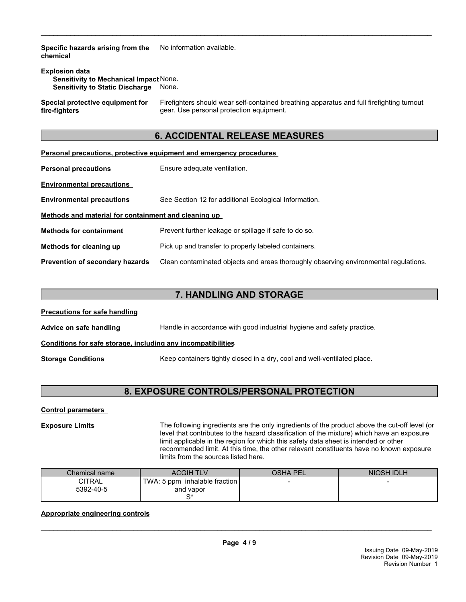**Specific hazards arising from the chemical** No information available.

| <b>Explosion data</b>                         |       |  |
|-----------------------------------------------|-------|--|
| <b>Sensitivity to Mechanical Impact None.</b> |       |  |
| <b>Sensitivity to Static Discharge</b>        | None. |  |

**Special protective equipment for fire-fighters**

Firefighters should wear self-contained breathing apparatus and full firefighting turnout gear. Use personal protection equipment.

# **6. ACCIDENTAL RELEASE MEASURES**

 $\_$  ,  $\_$  ,  $\_$  ,  $\_$  ,  $\_$  ,  $\_$  ,  $\_$  ,  $\_$  ,  $\_$  ,  $\_$  ,  $\_$  ,  $\_$  ,  $\_$  ,  $\_$  ,  $\_$  ,  $\_$  ,  $\_$  ,  $\_$  ,  $\_$  ,  $\_$  ,  $\_$  ,  $\_$  ,  $\_$  ,  $\_$  ,  $\_$  ,  $\_$  ,  $\_$  ,  $\_$  ,  $\_$  ,  $\_$  ,  $\_$  ,  $\_$  ,  $\_$  ,  $\_$  ,  $\_$  ,  $\_$  ,  $\_$  ,

|                                                      | <b>Personal precautions, protective equipment and emergency procedures</b>           |
|------------------------------------------------------|--------------------------------------------------------------------------------------|
| <b>Personal precautions</b>                          | Ensure adequate ventilation.                                                         |
| <b>Environmental precautions</b>                     |                                                                                      |
| <b>Environmental precautions</b>                     | See Section 12 for additional Ecological Information.                                |
| Methods and material for containment and cleaning up |                                                                                      |
| <b>Methods for containment</b>                       | Prevent further leakage or spillage if safe to do so.                                |
| Methods for cleaning up                              | Pick up and transfer to properly labeled containers.                                 |
| <b>Prevention of secondary hazards</b>               | Clean contaminated objects and areas thoroughly observing environmental regulations. |

# **7. HANDLING AND STORAGE**

| <b>Precautions for safe handling</b>                                                                  |                                                                        |
|-------------------------------------------------------------------------------------------------------|------------------------------------------------------------------------|
| Advice on safe handling                                                                               | Handle in accordance with good industrial hygiene and safety practice. |
| Conditions for safe storage, including any incompatibilities                                          |                                                                        |
| Keep containers tightly closed in a dry, cool and well-ventilated place.<br><b>Storage Conditions</b> |                                                                        |

# **8. EXPOSURE CONTROLS/PERSONAL PROTECTION**

**Control parameters** 

**Exposure Limits** The following ingredients are the only ingredients of the product above the cut-off level (or level that contributes to the hazard classification of the mixture) which have an exposure limit applicable in the region for which this safety data sheet is intended or other recommended limit. At this time, the other relevant constituents have no known exposure limits from the sources listed here.

| Chemical name       | <b>ACGIH TLV</b>                           | <b>OSHA PEL</b> | NIOSH IDLH               |
|---------------------|--------------------------------------------|-----------------|--------------------------|
| CITRAL<br>5392-40-5 | TWA: 5 ppm inhalable fraction<br>and vapor |                 | $\overline{\phantom{0}}$ |
|                     | r*                                         |                 |                          |

## **Appropriate engineering controls**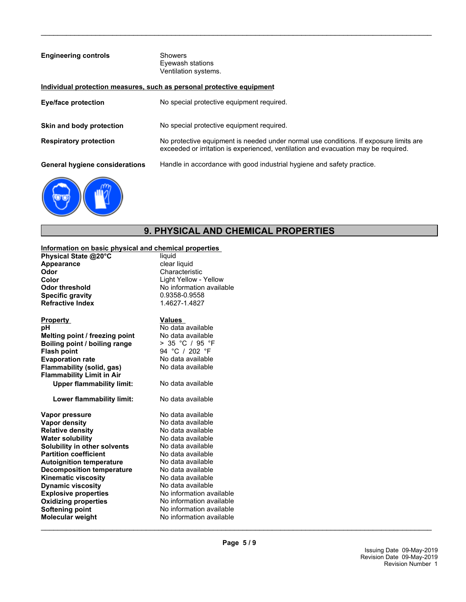| <b>Engineering controls</b>           | <b>Showers</b><br>Eyewash stations<br>Ventilation systems.                                                                                                                  |
|---------------------------------------|-----------------------------------------------------------------------------------------------------------------------------------------------------------------------------|
|                                       | Individual protection measures, such as personal protective equipment                                                                                                       |
| Eye/face protection                   | No special protective equipment required.                                                                                                                                   |
| Skin and body protection              | No special protective equipment required.                                                                                                                                   |
| <b>Respiratory protection</b>         | No protective equipment is needed under normal use conditions. If exposure limits are<br>exceeded or irritation is experienced, ventilation and evacuation may be required. |
| <b>General hygiene considerations</b> | Handle in accordance with good industrial hygiene and safety practice.                                                                                                      |
|                                       |                                                                                                                                                                             |

 $\_$  ,  $\_$  ,  $\_$  ,  $\_$  ,  $\_$  ,  $\_$  ,  $\_$  ,  $\_$  ,  $\_$  ,  $\_$  ,  $\_$  ,  $\_$  ,  $\_$  ,  $\_$  ,  $\_$  ,  $\_$  ,  $\_$  ,  $\_$  ,  $\_$  ,  $\_$  ,  $\_$  ,  $\_$  ,  $\_$  ,  $\_$  ,  $\_$  ,  $\_$  ,  $\_$  ,  $\_$  ,  $\_$  ,  $\_$  ,  $\_$  ,  $\_$  ,  $\_$  ,  $\_$  ,  $\_$  ,  $\_$  ,  $\_$  ,

# **9. PHYSICAL AND CHEMICAL PROPERTIES**

### **Information on basic physical and chemical properties**

**Physical State @20°C** liquid **Appearance**<br> **Appearance**<br> **Characteris**<br> **Characteris Odor** Characteristic Color Characteristic Color **Specific gravity Refractive Index** 1.4627-1.4827

| <b>Property</b><br>рH<br>Melting point / freezing point<br>Boiling point / boiling range<br><b>Flash point</b><br><b>Evaporation rate</b><br><b>Flammability (solid, gas)</b><br><b>Flammability Limit in Air</b><br><b>Upper flammability limit:</b><br>Lower flammability limit: | Values<br>No data available<br>No data available<br>> 35 °C / 95 °F<br>94 °C / 202 °F<br>No data available<br>No data available<br>No data available<br>No data available |
|------------------------------------------------------------------------------------------------------------------------------------------------------------------------------------------------------------------------------------------------------------------------------------|---------------------------------------------------------------------------------------------------------------------------------------------------------------------------|
| Vapor pressure                                                                                                                                                                                                                                                                     | No data available                                                                                                                                                         |
| Vapor density                                                                                                                                                                                                                                                                      | No data available                                                                                                                                                         |
| <b>Relative density</b>                                                                                                                                                                                                                                                            | No data available                                                                                                                                                         |
| <b>Water solubility</b>                                                                                                                                                                                                                                                            | No data available                                                                                                                                                         |
| Solubility in other solvents                                                                                                                                                                                                                                                       | No data available                                                                                                                                                         |
| <b>Partition coefficient</b>                                                                                                                                                                                                                                                       | No data available                                                                                                                                                         |
| <b>Autoignition temperature</b>                                                                                                                                                                                                                                                    | No data available                                                                                                                                                         |
| <b>Decomposition temperature</b>                                                                                                                                                                                                                                                   | No data available                                                                                                                                                         |
| <b>Kinematic viscosity</b>                                                                                                                                                                                                                                                         | No data available                                                                                                                                                         |
| <b>Dynamic viscosity</b>                                                                                                                                                                                                                                                           | No data available                                                                                                                                                         |
| <b>Explosive properties</b>                                                                                                                                                                                                                                                        | No information av                                                                                                                                                         |
|                                                                                                                                                                                                                                                                                    |                                                                                                                                                                           |

**Color**<br> **Color threshold**<br> **Color threshold**<br> **Color Allow**<br> **Color Allow**<br> **Color Allow**<br> **Color Allow**<br> **Color threshold**<br> **Color Allow**<br> **Color threshold**<br> **Color Allow**<br> **Color Allow**<br> **Color Allow**<br> **Color threshold** No information available<br>0.9358-0.9558

# **Boiling point / boiling range** > 35 °C / 95 °F

tion available **Oxidizing properties**<br> **Softening point**<br> **No information available**<br>
No information available **No information available Molecular weight** No information available ailable<br>ailable ailable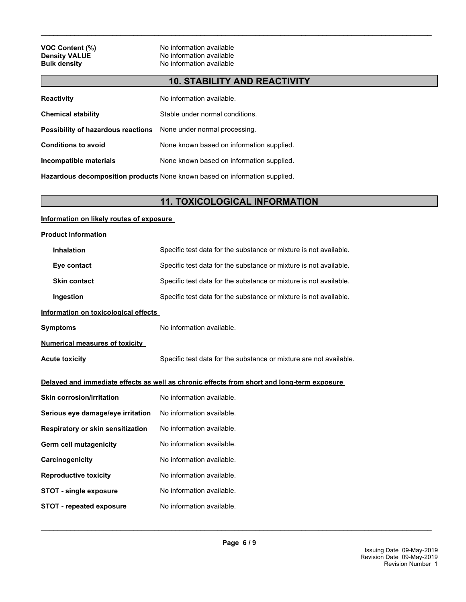**VOC Content (%)** No information available<br> **Density VALUE** No information available **Density VALUE**<br> **Bulk density**<br> **Bulk density**<br> **CO No** information available **No information available** 

# **10. STABILITY AND REACTIVITY**

 $\_$  ,  $\_$  ,  $\_$  ,  $\_$  ,  $\_$  ,  $\_$  ,  $\_$  ,  $\_$  ,  $\_$  ,  $\_$  ,  $\_$  ,  $\_$  ,  $\_$  ,  $\_$  ,  $\_$  ,  $\_$  ,  $\_$  ,  $\_$  ,  $\_$  ,  $\_$  ,  $\_$  ,  $\_$  ,  $\_$  ,  $\_$  ,  $\_$  ,  $\_$  ,  $\_$  ,  $\_$  ,  $\_$  ,  $\_$  ,  $\_$  ,  $\_$  ,  $\_$  ,  $\_$  ,  $\_$  ,  $\_$  ,  $\_$  ,

| <b>Reactivity</b>                                                | No information available.                 |
|------------------------------------------------------------------|-------------------------------------------|
| <b>Chemical stability</b>                                        | Stable under normal conditions.           |
| Possibility of hazardous reactions None under normal processing. |                                           |
| <b>Conditions to avoid</b>                                       | None known based on information supplied. |
| Incompatible materials                                           | None known based on information supplied. |
|                                                                  |                                           |

**Hazardous decomposition products** None known based on information supplied.

# **11. TOXICOLOGICAL INFORMATION**

### **Information on likely routes of exposure**

| <b>Product Information</b>            |                                                                                            |
|---------------------------------------|--------------------------------------------------------------------------------------------|
| <b>Inhalation</b>                     | Specific test data for the substance or mixture is not available.                          |
| Eye contact                           | Specific test data for the substance or mixture is not available.                          |
| <b>Skin contact</b>                   | Specific test data for the substance or mixture is not available.                          |
| Ingestion                             | Specific test data for the substance or mixture is not available.                          |
| Information on toxicological effects  |                                                                                            |
| <b>Symptoms</b>                       | No information available.                                                                  |
| <b>Numerical measures of toxicity</b> |                                                                                            |
| <b>Acute toxicity</b>                 | Specific test data for the substance or mixture are not available.                         |
|                                       |                                                                                            |
|                                       | Delayed and immediate effects as well as chronic effects from short and long-term exposure |
| <b>Skin corrosion/irritation</b>      | No information available.                                                                  |
| Serious eye damage/eye irritation     | No information available.                                                                  |
| Respiratory or skin sensitization     | No information available.                                                                  |
| Germ cell mutagenicity                | No information available.                                                                  |
| Carcinogenicity                       | No information available.                                                                  |
| <b>Reproductive toxicity</b>          | No information available.                                                                  |
| <b>STOT - single exposure</b>         | No information available.                                                                  |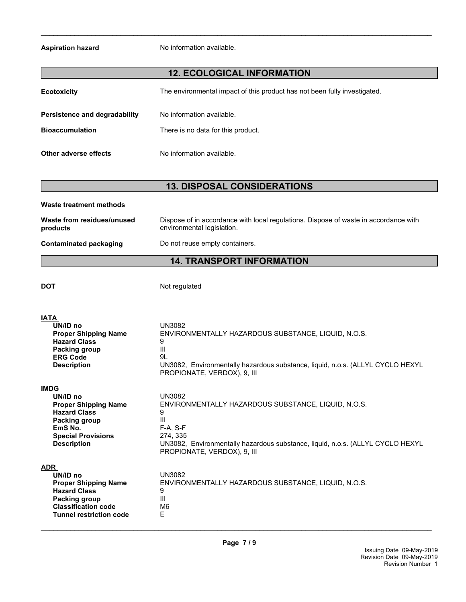**Aspiration hazard** No information available.

# **12. ECOLOGICAL INFORMATION**

 $\_$  ,  $\_$  ,  $\_$  ,  $\_$  ,  $\_$  ,  $\_$  ,  $\_$  ,  $\_$  ,  $\_$  ,  $\_$  ,  $\_$  ,  $\_$  ,  $\_$  ,  $\_$  ,  $\_$  ,  $\_$  ,  $\_$  ,  $\_$  ,  $\_$  ,  $\_$  ,  $\_$  ,  $\_$  ,  $\_$  ,  $\_$  ,  $\_$  ,  $\_$  ,  $\_$  ,  $\_$  ,  $\_$  ,  $\_$  ,  $\_$  ,  $\_$  ,  $\_$  ,  $\_$  ,  $\_$  ,  $\_$  ,  $\_$  ,

| <b>Ecotoxicity</b>                                      | The environmental impact of this product has not been fully investigated. |
|---------------------------------------------------------|---------------------------------------------------------------------------|
| Persistence and degradability<br><b>Bioaccumulation</b> | No information available.<br>There is no data for this product.           |
| Other adverse effects                                   | No information available.                                                 |

# **13. DISPOSAL CONSIDERATIONS**

| Waste treatment methods                |                                                                                                                    |
|----------------------------------------|--------------------------------------------------------------------------------------------------------------------|
| Waste from residues/unused<br>products | Dispose of in accordance with local regulations. Dispose of waste in accordance with<br>environmental legislation. |
| Contaminated packaging                 | Do not reuse empty containers.                                                                                     |

# **14. TRANSPORT INFORMATION**

**DOT** Not regulated

| <b>IATA</b>                                                                                                                                                   | UN3082                                                                                      |
|---------------------------------------------------------------------------------------------------------------------------------------------------------------|---------------------------------------------------------------------------------------------|
| UN/ID no                                                                                                                                                      | ENVIRONMENTALLY HAZARDOUS SUBSTANCE, LIQUID, N.O.S.                                         |
| <b>Proper Shipping Name</b>                                                                                                                                   | 9                                                                                           |
| <b>Hazard Class</b>                                                                                                                                           | III                                                                                         |
| Packing group                                                                                                                                                 | 9L                                                                                          |
| <b>ERG Code</b>                                                                                                                                               | UN3082, Environmentally hazardous substance, liquid, n.o.s. (ALLYL CYCLO HEXYL              |
| <b>Description</b>                                                                                                                                            | PROPIONATE, VERDOX), 9, III                                                                 |
| <b>IMDG</b>                                                                                                                                                   | <b>UN3082</b>                                                                               |
| UN/ID no                                                                                                                                                      | ENVIRONMENTALLY HAZARDOUS SUBSTANCE, LIQUID, N.O.S.                                         |
| <b>Proper Shipping Name</b>                                                                                                                                   | 9                                                                                           |
| <b>Hazard Class</b>                                                                                                                                           | III                                                                                         |
| Packing group                                                                                                                                                 | $F-A. S-F$                                                                                  |
| EmS No.                                                                                                                                                       | 274, 335                                                                                    |
| <b>Special Provisions</b>                                                                                                                                     | UN3082, Environmentally hazardous substance, liquid, n.o.s. (ALLYL CYCLO HEXYL              |
| <b>Description</b>                                                                                                                                            | PROPIONATE, VERDOX), 9, III                                                                 |
| <b>ADR</b><br>UN/ID no<br><b>Proper Shipping Name</b><br><b>Hazard Class</b><br>Packing group<br><b>Classification code</b><br><b>Tunnel restriction code</b> | <b>UN3082</b><br>ENVIRONMENTALLY HAZARDOUS SUBSTANCE, LIQUID, N.O.S.<br>9<br>III<br>M6<br>E |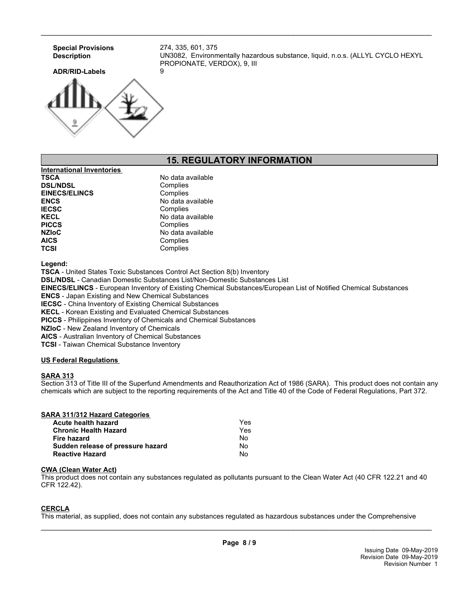

 $\_$  ,  $\_$  ,  $\_$  ,  $\_$  ,  $\_$  ,  $\_$  ,  $\_$  ,  $\_$  ,  $\_$  ,  $\_$  ,  $\_$  ,  $\_$  ,  $\_$  ,  $\_$  ,  $\_$  ,  $\_$  ,  $\_$  ,  $\_$  ,  $\_$  ,  $\_$  ,  $\_$  ,  $\_$  ,  $\_$  ,  $\_$  ,  $\_$  ,  $\_$  ,  $\_$  ,  $\_$  ,  $\_$  ,  $\_$  ,  $\_$  ,  $\_$  ,  $\_$  ,  $\_$  ,  $\_$  ,  $\_$  ,  $\_$  ,

# **15. REGULATORY INFORMATION**

| <b>International Inventories</b> |                   |
|----------------------------------|-------------------|
| <b>TSCA</b>                      | No data available |
| <b>DSL/NDSL</b>                  | Complies          |
| <b>EINECS/ELINCS</b>             | Complies          |
| <b>ENCS</b>                      | No data available |
| <b>IECSC</b>                     | Complies          |
| <b>KECL</b>                      | No data available |
| <b>PICCS</b>                     | Complies          |
| <b>NZIoC</b>                     | No data available |
| <b>AICS</b>                      | Complies          |
| <b>TCSI</b>                      | Complies          |

**Legend:**

**TSCA** - United States Toxic Substances Control Act Section 8(b) Inventory

**DSL/NDSL** - Canadian Domestic Substances List/Non-Domestic Substances List

**EINECS/ELINCS** - European Inventory of Existing Chemical Substances/European List of Notified Chemical Substances

**ENCS** - Japan Existing and New Chemical Substances

**IECSC** - China Inventory of Existing Chemical Substances

**KECL** - Korean Existing and Evaluated Chemical Substances

**PICCS** - Philippines Inventory of Chemicals and Chemical Substances

**NZIoC** - New Zealand Inventory of Chemicals

**AICS** - Australian Inventory of Chemical Substances

**TCSI** - Taiwan Chemical Substance Inventory

### **US Federal Regulations**

### **SARA 313**

Section 313 of Title III of the Superfund Amendments and Reauthorization Act of 1986 (SARA). This product does not contain any chemicals which are subject to the reporting requirements of the Act and Title 40 of the Code of Federal Regulations, Part 372.

| SARA 311/312 Hazard Categories    |     |
|-----------------------------------|-----|
| Acute health hazard               | Yes |
| <b>Chronic Health Hazard</b>      | Yes |
| Fire hazard                       | No. |
| Sudden release of pressure hazard | No  |
| <b>Reactive Hazard</b>            | Nο  |

### **CWA (Clean Water Act)**

This product does not contain any substances regulated as pollutants pursuant to the Clean Water Act (40 CFR 122.21 and 40 CFR 122.42).

### **CERCLA**

This material, as supplied, does not contain any substances regulated as hazardous substances under the Comprehensive